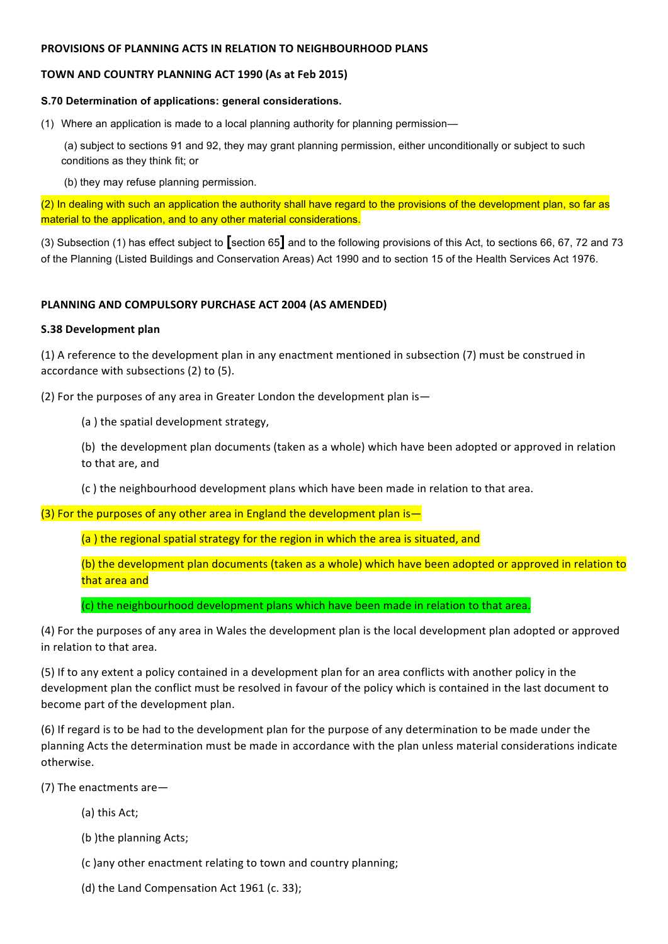### **PROVISIONS OF PLANNING ACTS IN RELATION TO NEIGHBOURHOOD PLANS**

# **TOWN AND COUNTRY PLANNING ACT 1990 (As at Feb 2015)**

## **S.70 Determination of applications: general considerations.**

(1) Where an application is made to a local planning authority for planning permission—

(a) subject to sections 91 and 92, they may grant planning permission, either unconditionally or subject to such conditions as they think fit; or

(b) they may refuse planning permission.

(2) In dealing with such an application the authority shall have regard to the provisions of the development plan, so far as material to the application, and to any other material considerations.

(3) Subsection (1) has effect subject to **[**section 65**]** and to the following provisions of this Act, to sections 66, 67, 72 and 73 of the Planning (Listed Buildings and Conservation Areas) Act 1990 and to section 15 of the Health Services Act 1976.

# **PLANNING AND COMPULSORY PURCHASE ACT 2004 (AS AMENDED)**

# **S.38 Development plan**

(1) A reference to the development plan in any enactment mentioned in subsection (7) must be construed in accordance with subsections (2) to (5).

(2) For the purposes of any area in Greater London the development plan is—

(a) the spatial development strategy,

(b) the development plan documents (taken as a whole) which have been adopted or approved in relation to that are, and

(c) the neighbourhood development plans which have been made in relation to that area.

(3) For the purposes of any other area in England the development plan is  $-$ 

(a) the regional spatial strategy for the region in which the area is situated, and

(b) the development plan documents (taken as a whole) which have been adopted or approved in relation to that area and

(c) the neighbourhood development plans which have been made in relation to that area.

(4) For the purposes of any area in Wales the development plan is the local development plan adopted or approved in relation to that area.

(5) If to any extent a policy contained in a development plan for an area conflicts with another policy in the development plan the conflict must be resolved in favour of the policy which is contained in the last document to become part of the development plan.

(6) If regard is to be had to the development plan for the purpose of any determination to be made under the planning Acts the determination must be made in accordance with the plan unless material considerations indicate otherwise. 

(7) The enactments are  $-$ 

- (a) this Act;
- (b) the planning Acts;

(c )any other enactment relating to town and country planning;

(d) the Land Compensation Act 1961 (c. 33);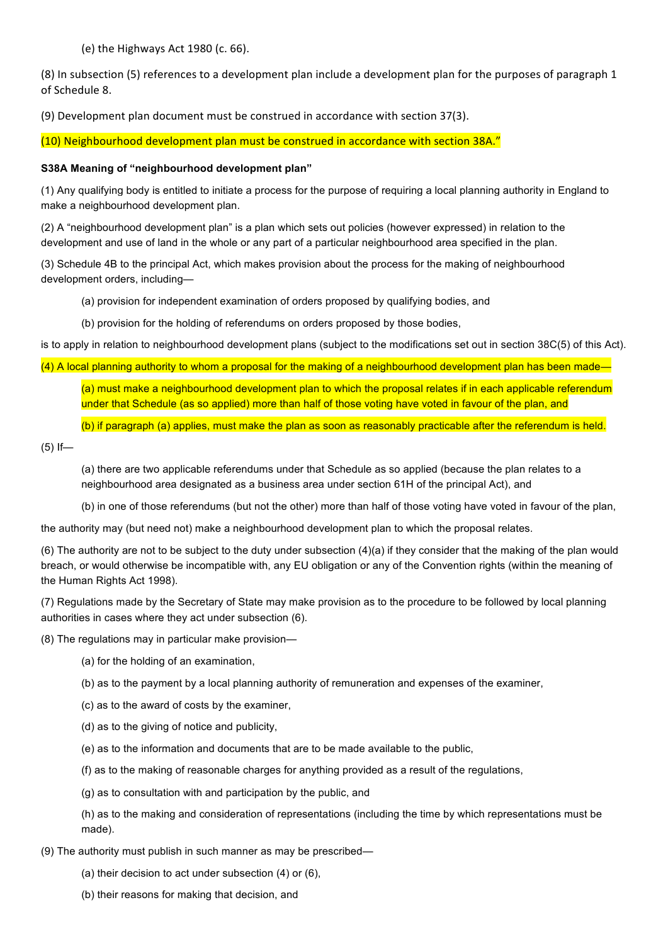(e) the Highways Act 1980 (c. 66).

(8) In subsection (5) references to a development plan include a development plan for the purposes of paragraph 1 of Schedule 8.

(9) Development plan document must be construed in accordance with section 37(3).

(10) Neighbourhood development plan must be construed in accordance with section 38A."

## **S38A Meaning of "neighbourhood development plan"**

(1) Any qualifying body is entitled to initiate a process for the purpose of requiring a local planning authority in England to make a neighbourhood development plan.

(2) A "neighbourhood development plan" is a plan which sets out policies (however expressed) in relation to the development and use of land in the whole or any part of a particular neighbourhood area specified in the plan.

(3) Schedule 4B to the principal Act, which makes provision about the process for the making of neighbourhood development orders, including—

(a) provision for independent examination of orders proposed by qualifying bodies, and

(b) provision for the holding of referendums on orders proposed by those bodies,

is to apply in relation to neighbourhood development plans (subject to the modifications set out in section 38C(5) of this Act).

(4) A local planning authority to whom a proposal for the making of a neighbourhood development plan has been made—

(a) must make a neighbourhood development plan to which the proposal relates if in each applicable referendum under that Schedule (as so applied) more than half of those voting have voted in favour of the plan, and

(b) if paragraph (a) applies, must make the plan as soon as reasonably practicable after the referendum is held.

 $(5)$  If-

(a) there are two applicable referendums under that Schedule as so applied (because the plan relates to a neighbourhood area designated as a business area under section 61H of the principal Act), and

(b) in one of those referendums (but not the other) more than half of those voting have voted in favour of the plan,

the authority may (but need not) make a neighbourhood development plan to which the proposal relates.

(6) The authority are not to be subject to the duty under subsection  $(4)(a)$  if they consider that the making of the plan would breach, or would otherwise be incompatible with, any EU obligation or any of the Convention rights (within the meaning of the Human Rights Act 1998).

(7) Regulations made by the Secretary of State may make provision as to the procedure to be followed by local planning authorities in cases where they act under subsection (6).

(8) The regulations may in particular make provision—

(a) for the holding of an examination,

(b) as to the payment by a local planning authority of remuneration and expenses of the examiner,

(c) as to the award of costs by the examiner,

(d) as to the giving of notice and publicity,

(e) as to the information and documents that are to be made available to the public,

(f) as to the making of reasonable charges for anything provided as a result of the regulations,

(g) as to consultation with and participation by the public, and

(h) as to the making and consideration of representations (including the time by which representations must be made).

(9) The authority must publish in such manner as may be prescribed—

(a) their decision to act under subsection (4) or (6),

(b) their reasons for making that decision, and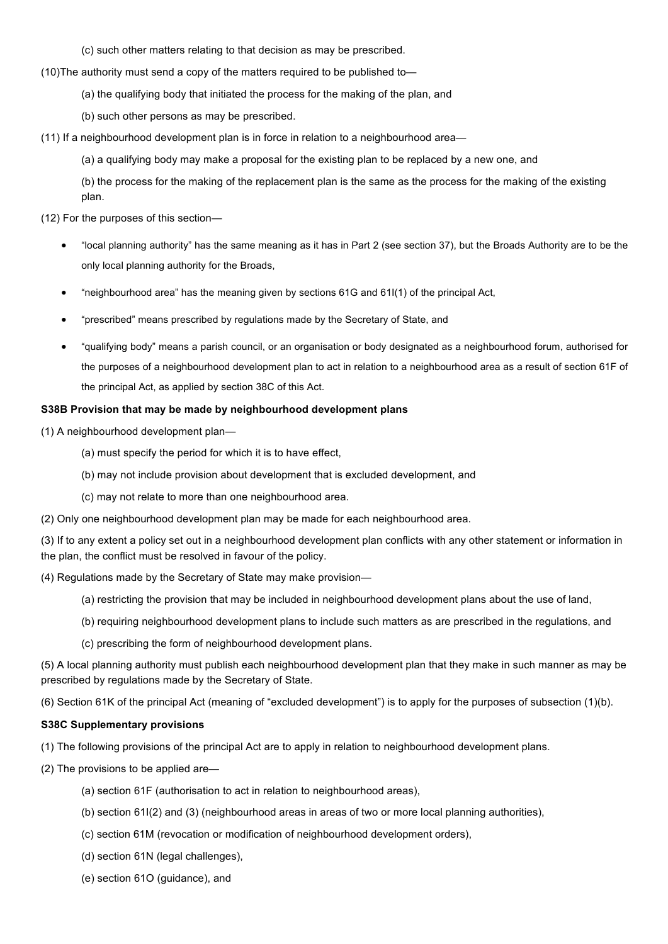(c) such other matters relating to that decision as may be prescribed.

(10)The authority must send a copy of the matters required to be published to—

- (a) the qualifying body that initiated the process for the making of the plan, and
- (b) such other persons as may be prescribed.

(11) If a neighbourhood development plan is in force in relation to a neighbourhood area—

(a) a qualifying body may make a proposal for the existing plan to be replaced by a new one, and

(b) the process for the making of the replacement plan is the same as the process for the making of the existing plan.

(12) For the purposes of this section—

- "local planning authority" has the same meaning as it has in Part 2 (see section 37), but the Broads Authority are to be the only local planning authority for the Broads,
- "neighbourhood area" has the meaning given by sections 61G and 61I(1) of the principal Act,
- "prescribed" means prescribed by regulations made by the Secretary of State, and
- "qualifying body" means a parish council, or an organisation or body designated as a neighbourhood forum, authorised for the purposes of a neighbourhood development plan to act in relation to a neighbourhood area as a result of section 61F of the principal Act, as applied by section 38C of this Act.

#### **S38B Provision that may be made by neighbourhood development plans**

(1) A neighbourhood development plan—

- (a) must specify the period for which it is to have effect,
- (b) may not include provision about development that is excluded development, and
- (c) may not relate to more than one neighbourhood area.

(2) Only one neighbourhood development plan may be made for each neighbourhood area.

(3) If to any extent a policy set out in a neighbourhood development plan conflicts with any other statement or information in the plan, the conflict must be resolved in favour of the policy.

(4) Regulations made by the Secretary of State may make provision—

- (a) restricting the provision that may be included in neighbourhood development plans about the use of land,
- (b) requiring neighbourhood development plans to include such matters as are prescribed in the regulations, and
- (c) prescribing the form of neighbourhood development plans.

(5) A local planning authority must publish each neighbourhood development plan that they make in such manner as may be prescribed by regulations made by the Secretary of State.

(6) Section 61K of the principal Act (meaning of "excluded development") is to apply for the purposes of subsection (1)(b).

#### **S38C Supplementary provisions**

(1) The following provisions of the principal Act are to apply in relation to neighbourhood development plans.

(2) The provisions to be applied are—

- (a) section 61F (authorisation to act in relation to neighbourhood areas),
- (b) section 61I(2) and (3) (neighbourhood areas in areas of two or more local planning authorities),
- (c) section 61M (revocation or modification of neighbourhood development orders),
- (d) section 61N (legal challenges),
- (e) section 61O (guidance), and